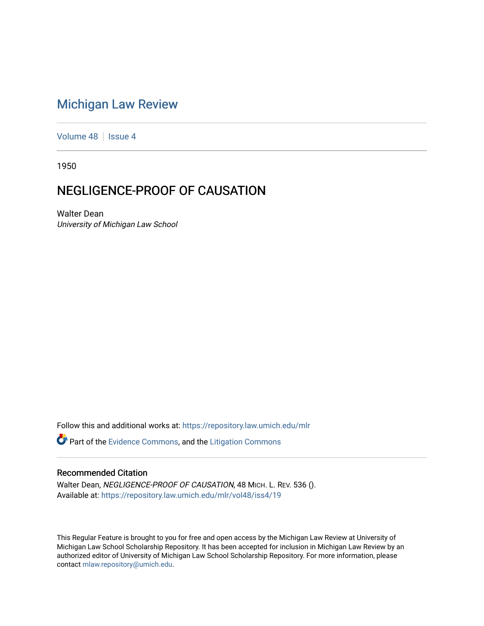## [Michigan Law Review](https://repository.law.umich.edu/mlr)

[Volume 48](https://repository.law.umich.edu/mlr/vol48) | [Issue 4](https://repository.law.umich.edu/mlr/vol48/iss4)

1950

## NEGLIGENCE-PROOF OF CAUSATION

Walter Dean University of Michigan Law School

Follow this and additional works at: [https://repository.law.umich.edu/mlr](https://repository.law.umich.edu/mlr?utm_source=repository.law.umich.edu%2Fmlr%2Fvol48%2Fiss4%2F19&utm_medium=PDF&utm_campaign=PDFCoverPages) 

**P** Part of the [Evidence Commons,](http://network.bepress.com/hgg/discipline/601?utm_source=repository.law.umich.edu%2Fmlr%2Fvol48%2Fiss4%2F19&utm_medium=PDF&utm_campaign=PDFCoverPages) and the Litigation Commons

## Recommended Citation

Walter Dean, NEGLIGENCE-PROOF OF CAUSATION, 48 MICH. L. REV. 536 (). Available at: [https://repository.law.umich.edu/mlr/vol48/iss4/19](https://repository.law.umich.edu/mlr/vol48/iss4/19?utm_source=repository.law.umich.edu%2Fmlr%2Fvol48%2Fiss4%2F19&utm_medium=PDF&utm_campaign=PDFCoverPages) 

This Regular Feature is brought to you for free and open access by the Michigan Law Review at University of Michigan Law School Scholarship Repository. It has been accepted for inclusion in Michigan Law Review by an authorized editor of University of Michigan Law School Scholarship Repository. For more information, please contact [mlaw.repository@umich.edu](mailto:mlaw.repository@umich.edu).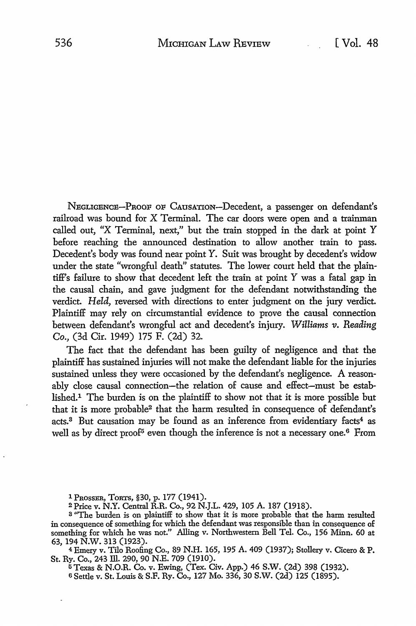NEGLIGENCE-PnooF OF CAUSATION-Decedent, a passenger on defendant's railroad was bound for X Terminal. The car doors were open and a trainman called out, "X Terminal, next," but the train stopped in the dark at point Y before reaching the announced destination to allow another train to pass. Decedent's body was found near point *Y.* Suit was brought by decedent's widow under the state "wrongful death" statutes. The lower court held that the plaintiff's failure to show that decedent left the train at point Y was a fatal gap in the causal chain, and gave judgment for the defendant notwithstanding the verdict. *Held,* reversed with directions to enter judgment on the jury verdict. Plaintiff may rely on circumstantial evidence to prove the causal connection between defendant's wrongful act and decedent's injury. *Williams v. Reading Co.,* (3d Cir. 1949) 175 F. (2d) 32.

The fact that the defendant has been guilty of negligence and that the plaintiff has sustained injuries will not make the defendant liable for the injuries sustained unless they were occasioned by the defendant's negligence. A reasonably close causal connection-the relation of cause and effect-must be established.1 The burden is on the plaintiff to show not that it is more possible but that it is more probable2 that the harm resulted in consequence of defendant's acts.<sup>3</sup> But causation may be found as an inference from evidentiary facts<sup>4</sup> as well as by direct proof<sup>5</sup> even though the inference is not a necessary one.<sup>6</sup> From

1 PROSSER, TORTS, §30, p. 177 (1941).

<sup>2</sup>Price v. N.Y. Central R.R. Co., 92 N.J.L. 429, 105 A. 187 (1918).

<sup>3</sup> "The burden is on plaintiff to show that it is more probable that the harm resulted in consequence of something for which the defendant was responsible than in consequence of something for which he was not." Alling v. Northwestern Bell Tel. Co., 156 Minn. 60 at 63, 194 N.W. 313 (1923).

<sup>4</sup>Emery v. Tilo Roofing Co., 89 N.H. 165, 195 A. 409 (1937); Stollery v. Cicero & P. St. Ry. Co., 243 lli. 290, 90 N.E. 709 (1910).

<sup>5</sup>Texas & N.O.R. Co. v. Ewing, (Tex. Civ. App.) 46 S.W. (2d) 398 (1932). s Settle v. St. Louis & S.F. Ry. Co., 127 Mo. 336, 30 S.W. (2d) 125 (1895).